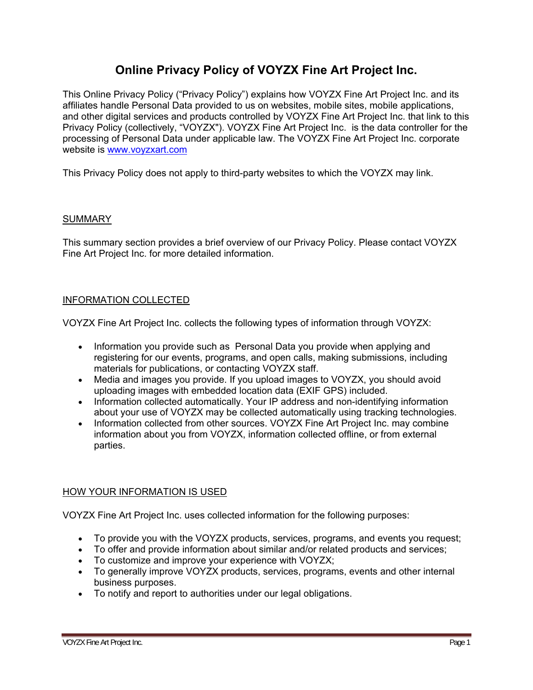# **Online Privacy Policy of VOYZX Fine Art Project Inc.**

This Online Privacy Policy ("Privacy Policy") explains how VOYZX Fine Art Project Inc. and its affiliates handle Personal Data provided to us on websites, mobile sites, mobile applications, and other digital services and products controlled by VOYZX Fine Art Project Inc. that link to this Privacy Policy (collectively, "VOYZX"). VOYZX Fine Art Project Inc. is the data controller for the processing of Personal Data under applicable law. The VOYZX Fine Art Project Inc. corporate website is www.voyzxart.com

This Privacy Policy does not apply to third-party websites to which the VOYZX may link.

## SUMMARY

This summary section provides a brief overview of our Privacy Policy. Please contact VOYZX Fine Art Project Inc. for more detailed information.

## INFORMATION COLLECTED

VOYZX Fine Art Project Inc. collects the following types of information through VOYZX:

- Information you provide such as Personal Data you provide when applying and registering for our events, programs, and open calls, making submissions, including materials for publications, or contacting VOYZX staff.
- Media and images you provide. If you upload images to VOYZX, you should avoid uploading images with embedded location data (EXIF GPS) included.
- Information collected automatically. Your IP address and non-identifying information about your use of VOYZX may be collected automatically using tracking technologies.
- Information collected from other sources. VOYZX Fine Art Project Inc. may combine information about you from VOYZX, information collected offline, or from external parties.

# HOW YOUR INFORMATION IS USED

VOYZX Fine Art Project Inc. uses collected information for the following purposes:

- To provide you with the VOYZX products, services, programs, and events you request;
- To offer and provide information about similar and/or related products and services;
- To customize and improve your experience with VOYZX;
- To generally improve VOYZX products, services, programs, events and other internal business purposes.
- To notify and report to authorities under our legal obligations.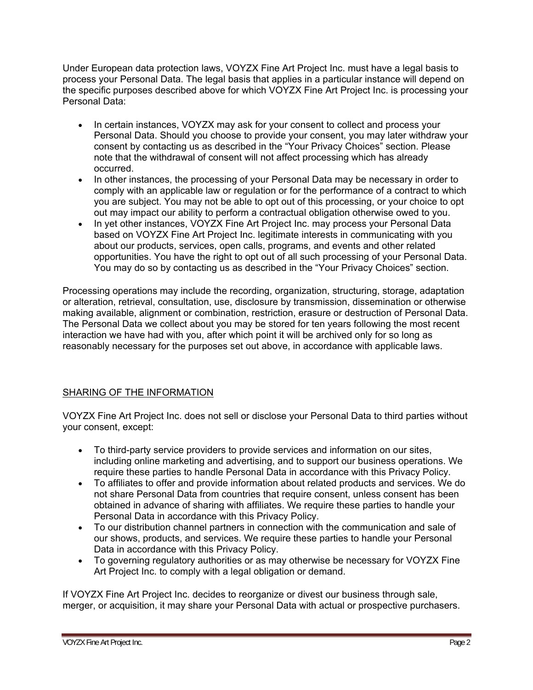Under European data protection laws, VOYZX Fine Art Project Inc. must have a legal basis to process your Personal Data. The legal basis that applies in a particular instance will depend on the specific purposes described above for which VOYZX Fine Art Project Inc. is processing your Personal Data:

- In certain instances, VOYZX may ask for your consent to collect and process your Personal Data. Should you choose to provide your consent, you may later withdraw your consent by contacting us as described in the "Your Privacy Choices" section. Please note that the withdrawal of consent will not affect processing which has already occurred.
- In other instances, the processing of your Personal Data may be necessary in order to comply with an applicable law or regulation or for the performance of a contract to which you are subject. You may not be able to opt out of this processing, or your choice to opt out may impact our ability to perform a contractual obligation otherwise owed to you.
- In yet other instances, VOYZX Fine Art Project Inc. may process your Personal Data based on VOYZX Fine Art Project Inc. legitimate interests in communicating with you about our products, services, open calls, programs, and events and other related opportunities. You have the right to opt out of all such processing of your Personal Data. You may do so by contacting us as described in the "Your Privacy Choices" section.

Processing operations may include the recording, organization, structuring, storage, adaptation or alteration, retrieval, consultation, use, disclosure by transmission, dissemination or otherwise making available, alignment or combination, restriction, erasure or destruction of Personal Data. The Personal Data we collect about you may be stored for ten years following the most recent interaction we have had with you, after which point it will be archived only for so long as reasonably necessary for the purposes set out above, in accordance with applicable laws.

# SHARING OF THE INFORMATION

VOYZX Fine Art Project Inc. does not sell or disclose your Personal Data to third parties without your consent, except:

- To third-party service providers to provide services and information on our sites, including online marketing and advertising, and to support our business operations. We require these parties to handle Personal Data in accordance with this Privacy Policy.
- To affiliates to offer and provide information about related products and services. We do not share Personal Data from countries that require consent, unless consent has been obtained in advance of sharing with affiliates. We require these parties to handle your Personal Data in accordance with this Privacy Policy.
- To our distribution channel partners in connection with the communication and sale of our shows, products, and services. We require these parties to handle your Personal Data in accordance with this Privacy Policy.
- To governing regulatory authorities or as may otherwise be necessary for VOYZX Fine Art Project Inc. to comply with a legal obligation or demand.

If VOYZX Fine Art Project Inc. decides to reorganize or divest our business through sale, merger, or acquisition, it may share your Personal Data with actual or prospective purchasers.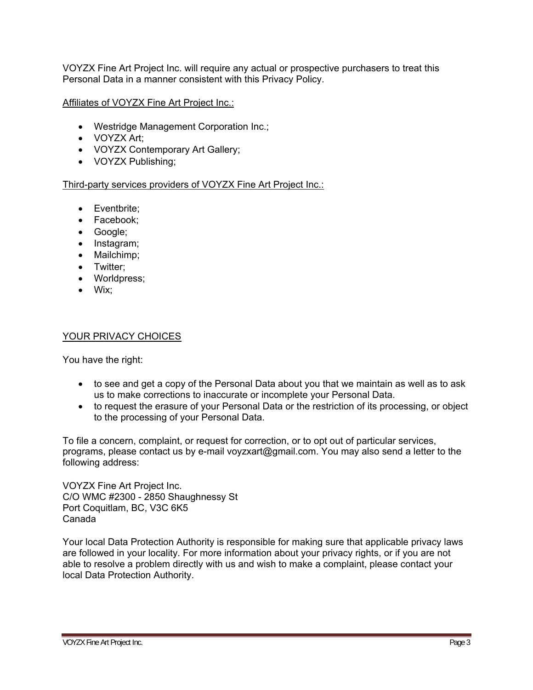VOYZX Fine Art Project Inc. will require any actual or prospective purchasers to treat this Personal Data in a manner consistent with this Privacy Policy.

Affiliates of VOYZX Fine Art Project Inc.:

- Westridge Management Corporation Inc.;
- VOYZX Art;
- VOYZX Contemporary Art Gallery;
- VOYZX Publishing;

#### Third-party services providers of VOYZX Fine Art Project Inc.:

- Eventbrite;
- Facebook;
- Google:
- Instagram;
- Mailchimp;
- Twitter:
- Worldpress;
- Wix;

#### YOUR PRIVACY CHOICES

You have the right:

- to see and get a copy of the Personal Data about you that we maintain as well as to ask us to make corrections to inaccurate or incomplete your Personal Data.
- to request the erasure of your Personal Data or the restriction of its processing, or object to the processing of your Personal Data.

To file a concern, complaint, or request for correction, or to opt out of particular services, programs, please contact us by e-mail voyzxart@gmail.com. You may also send a letter to the following address:

VOYZX Fine Art Project Inc. C/O WMC #2300 - 2850 Shaughnessy St Port Coquitlam, BC, V3C 6K5 Canada

Your local Data Protection Authority is responsible for making sure that applicable privacy laws are followed in your locality. For more information about your privacy rights, or if you are not able to resolve a problem directly with us and wish to make a complaint, please contact your local Data Protection Authority.